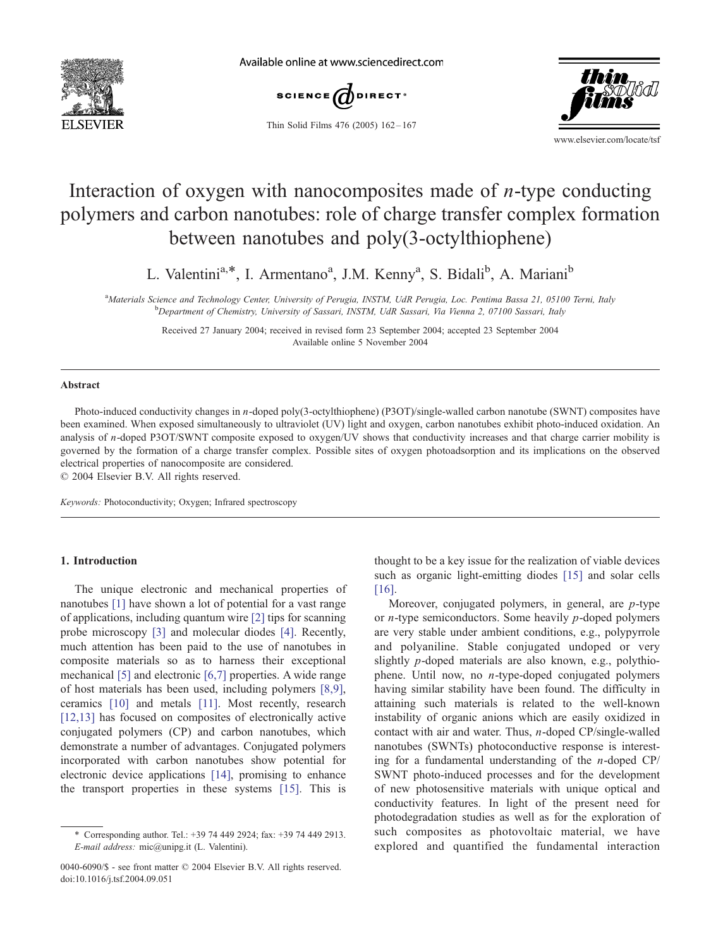

Available online at www.sciencedirect.com



Thin Solid Films 476 (2005) 162 – 167



www.elsevier.com/locate/tsf

# Interaction of oxygen with nanocomposites made of  $n$ -type conducting polymers and carbon nanotubes: role of charge transfer complex formation between nanotubes and poly(3-octylthiophene)

L. Valentini<sup>a,\*</sup>, I. Armentano<sup>a</sup>, J.M. Kenny<sup>a</sup>, S. Bidali<sup>b</sup>, A. Mariani<sup>b</sup>

<sup>a</sup>Materials Science and Technology Center, University of Perugia, INSTM, UdR Perugia, Loc. Pentima Bassa 21, 05100 Terni, Italy<br>bDopartment of Chamistry, University of Sassari, INSTM, UdP Sassari, Via Vianna 2, 07100 Sass <sup>b</sup>Department of Chemistry, University of Sassari, INSTM, UdR Sassari, Via Vienna 2, 07100 Sassari, Italy

> Received 27 January 2004; received in revised form 23 September 2004; accepted 23 September 2004 Available online 5 November 2004

#### Abstract

Photo-induced conductivity changes in n-doped poly(3-octylthiophene) (P3OT)/single-walled carbon nanotube (SWNT) composites have been examined. When exposed simultaneously to ultraviolet (UV) light and oxygen, carbon nanotubes exhibit photo-induced oxidation. An analysis of n-doped P3OT/SWNT composite exposed to oxygen/UV shows that conductivity increases and that charge carrier mobility is governed by the formation of a charge transfer complex. Possible sites of oxygen photoadsorption and its implications on the observed electrical properties of nanocomposite are considered.

 $© 2004 Elsevier B.V. All rights reserved.$ 

Keywords: Photoconductivity; Oxygen; Infrared spectroscopy

# 1. Introduction

The unique electronic and mechanical properties of nanotubes [\[1\]](#page-5-0) have shown a lot of potential for a vast range of applications, including quantum wire [\[2\]](#page-5-0) tips for scanning probe microscopy [\[3\]](#page-5-0) and molecular diodes [\[4\].](#page-5-0) Recently, much attention has been paid to the use of nanotubes in composite materials so as to harness their exceptional mechanical [\[5\]](#page-5-0) and electronic [\[6,7\]](#page-5-0) properties. A wide range of host materials has been used, including polymers [\[8,9\],](#page-5-0) ceramics [\[10\]](#page-5-0) and metals [\[11\].](#page-5-0) Most recently, research [\[12,13\]](#page-5-0) has focused on composites of electronically active conjugated polymers (CP) and carbon nanotubes, which demonstrate a number of advantages. Conjugated polymers incorporated with carbon nanotubes show potential for electronic device applications [\[14\],](#page-5-0) promising to enhance the transport properties in these systems [\[15\].](#page-5-0) This is

thought to be a key issue for the realization of viable devices such as organic light-emitting diodes [\[15\]](#page-5-0) and solar cells [\[16\].](#page-5-0)

Moreover, conjugated polymers, in general, are p-type or  $n$ -type semiconductors. Some heavily  $p$ -doped polymers are very stable under ambient conditions, e.g., polypyrrole and polyaniline. Stable conjugated undoped or very slightly p-doped materials are also known, e.g., polythiophene. Until now, no n-type-doped conjugated polymers having similar stability have been found. The difficulty in attaining such materials is related to the well-known instability of organic anions which are easily oxidized in contact with air and water. Thus, n-doped CP/single-walled nanotubes (SWNTs) photoconductive response is interesting for a fundamental understanding of the *n*-doped  $\text{CP}/\text{}$ SWNT photo-induced processes and for the development of new photosensitive materials with unique optical and conductivity features. In light of the present need for photodegradation studies as well as for the exploration of such composites as photovoltaic material, we have explored and quantified the fundamental interaction

<sup>\*</sup> Corresponding author. Tel.: +39 74 449 2924; fax: +39 74 449 2913. E-mail address: mic@unipg.it (L. Valentini).

<sup>0040-6090/\$ -</sup> see front matter © 2004 Elsevier B.V. All rights reserved. doi:10.1016/j.tsf.2004.09.051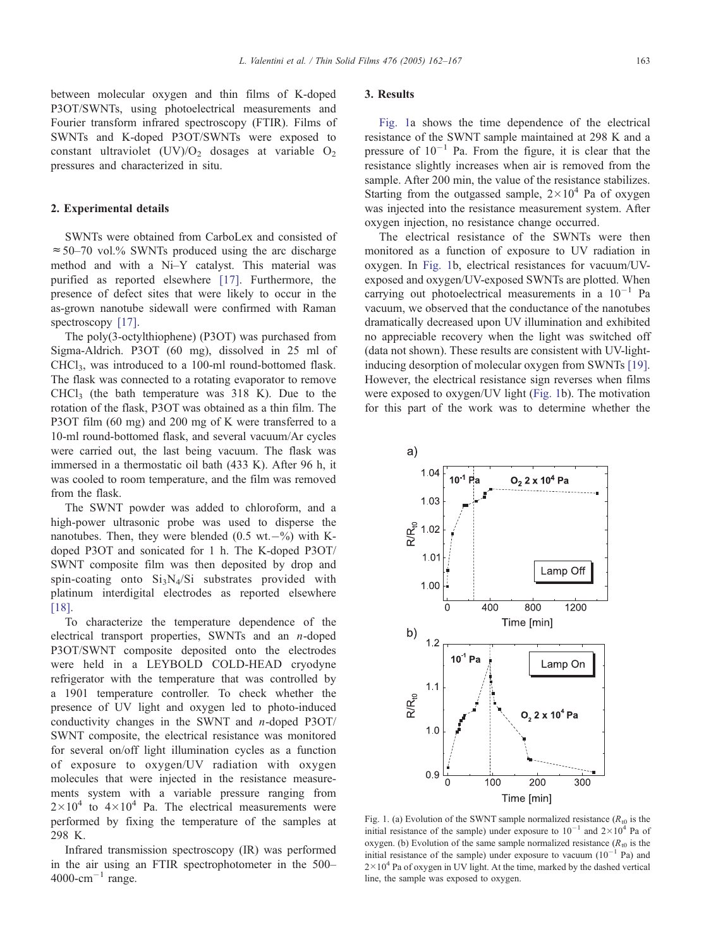<span id="page-1-0"></span>between molecular oxygen and thin films of K-doped P3OT/SWNTs, using photoelectrical measurements and Fourier transform infrared spectroscopy (FTIR). Films of SWNTs and K-doped P3OT/SWNTs were exposed to constant ultraviolet  $(UV)/O<sub>2</sub>$  dosages at variable  $O<sub>2</sub>$ pressures and characterized in situ.

### 2. Experimental details

SWNTs were obtained from CarboLex and consisted of  $\approx$  50–70 vol.% SWNTs produced using the arc discharge method and with a Ni–Y catalyst. This material was purified as reported elsewhere [\[17\].](#page-5-0) Furthermore, the presence of defect sites that were likely to occur in the as-grown nanotube sidewall were confirmed with Raman spectroscopy [\[17\].](#page-5-0)

The poly(3-octylthiophene) (P3OT) was purchased from Sigma-Aldrich. P3OT (60 mg), dissolved in 25 ml of CHCl3, was introduced to a 100-ml round-bottomed flask. The flask was connected to a rotating evaporator to remove  $CHCl<sub>3</sub>$  (the bath temperature was 318 K). Due to the rotation of the flask, P3OT was obtained as a thin film. The P3OT film (60 mg) and 200 mg of K were transferred to a 10-ml round-bottomed flask, and several vacuum/Ar cycles were carried out, the last being vacuum. The flask was immersed in a thermostatic oil bath (433 K). After 96 h, it was cooled to room temperature, and the film was removed from the flask.

The SWNT powder was added to chloroform, and a high-power ultrasonic probe was used to disperse the nanotubes. Then, they were blended  $(0.5 \text{ wt.} - \%)$  with Kdoped P3OT and sonicated for 1 h. The K-doped P3OT/ SWNT composite film was then deposited by drop and spin-coating onto  $Si_3N_4/Si$  substrates provided with platinum interdigital electrodes as reported elsewhere [\[18\].](#page-5-0)

To characterize the temperature dependence of the electrical transport properties, SWNTs and an n-doped P3OT/SWNT composite deposited onto the electrodes were held in a LEYBOLD COLD-HEAD cryodyne refrigerator with the temperature that was controlled by a 1901 temperature controller. To check whether the presence of UV light and oxygen led to photo-induced conductivity changes in the SWNT and n-doped P3OT/ SWNT composite, the electrical resistance was monitored for several on/off light illumination cycles as a function of exposure to oxygen/UV radiation with oxygen molecules that were injected in the resistance measurements system with a variable pressure ranging from  $2 \times 10^4$  to  $4 \times 10^4$  Pa. The electrical measurements were performed by fixing the temperature of the samples at 298 K.

Infrared transmission spectroscopy (IR) was performed in the air using an FTIR spectrophotometer in the 500–  $4000$ -cm<sup>-1</sup> range.

### 3. Results

Fig. 1a shows the time dependence of the electrical resistance of the SWNT sample maintained at 298 K and a pressure of  $10^{-1}$  Pa. From the figure, it is clear that the resistance slightly increases when air is removed from the sample. After 200 min, the value of the resistance stabilizes. Starting from the outgassed sample,  $2 \times 10^4$  Pa of oxygen was injected into the resistance measurement system. After oxygen injection, no resistance change occurred.

The electrical resistance of the SWNTs were then monitored as a function of exposure to UV radiation in oxygen. In Fig. 1b, electrical resistances for vacuum/UVexposed and oxygen/UV-exposed SWNTs are plotted. When carrying out photoelectrical measurements in a  $10^{-1}$  Pa vacuum, we observed that the conductance of the nanotubes dramatically decreased upon UV illumination and exhibited no appreciable recovery when the light was switched off (data not shown). These results are consistent with UV-lightinducing desorption of molecular oxygen from SWNTs [\[19\].](#page-5-0) However, the electrical resistance sign reverses when films were exposed to oxygen/UV light (Fig. 1b). The motivation for this part of the work was to determine whether the



Fig. 1. (a) Evolution of the SWNT sample normalized resistance ( $R_{10}$  is the initial resistance of the sample) under exposure to  $10^{-1}$  and  $2 \times 10^{4}$  Pa of oxygen. (b) Evolution of the same sample normalized resistance  $(R_{10})$  is the initial resistance of the sample) under exposure to vacuum  $(10^{-1}$  Pa) and  $2 \times 10^4$  Pa of oxygen in UV light. At the time, marked by the dashed vertical line, the sample was exposed to oxygen.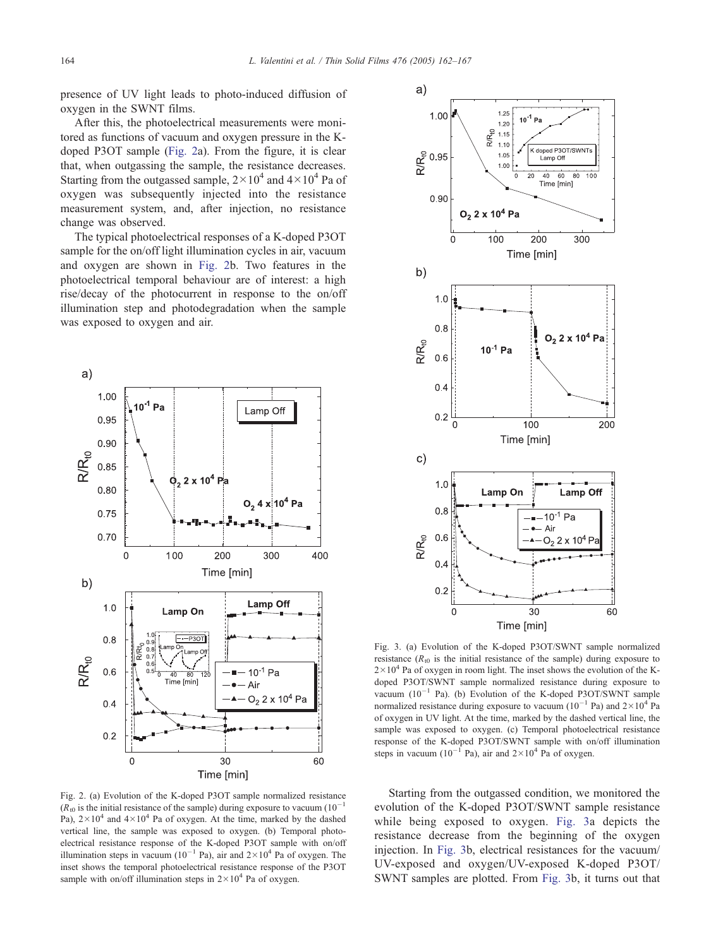<span id="page-2-0"></span>presence of UV light leads to photo-induced diffusion of oxygen in the SWNT films.

After this, the photoelectrical measurements were monitored as functions of vacuum and oxygen pressure in the Kdoped P3OT sample (Fig. 2a). From the figure, it is clear that, when outgassing the sample, the resistance decreases. Starting from the outgassed sample,  $2 \times 10^4$  and  $4 \times 10^4$  Pa of oxygen was subsequently injected into the resistance measurement system, and, after injection, no resistance change was observed.

The typical photoelectrical responses of a K-doped P3OT sample for the on/off light illumination cycles in air, vacuum and oxygen are shown in Fig. 2b. Two features in the photoelectrical temporal behaviour are of interest: a high rise/decay of the photocurrent in response to the on/off illumination step and photodegradation when the sample was exposed to oxygen and air.



Fig. 2. (a) Evolution of the K-doped P3OT sample normalized resistance  $(R_{t0}$  is the initial resistance of the sample) during exposure to vacuum (10<sup>-1</sup>) Pa),  $2 \times 10^4$  and  $4 \times 10^4$  Pa of oxygen. At the time, marked by the dashed vertical line, the sample was exposed to oxygen. (b) Temporal photoelectrical resistance response of the K-doped P3OT sample with on/off illumination steps in vacuum ( $10^{-1}$  Pa), air and  $2 \times 10^{4}$  Pa of oxygen. The inset shows the temporal photoelectrical resistance response of the P3OT sample with on/off illumination steps in  $2 \times 10^4$  Pa of oxygen.



Fig. 3. (a) Evolution of the K-doped P3OT/SWNT sample normalized resistance ( $R_{t0}$  is the initial resistance of the sample) during exposure to  $2 \times 10^4$  Pa of oxygen in room light. The inset shows the evolution of the Kdoped P3OT/SWNT sample normalized resistance during exposure to vacuum  $(10^{-1}$  Pa). (b) Evolution of the K-doped P3OT/SWNT sample normalized resistance during exposure to vacuum ( $10^{-1}$  Pa) and  $2 \times 10^{4}$  Pa of oxygen in UV light. At the time, marked by the dashed vertical line, the sample was exposed to oxygen. (c) Temporal photoelectrical resistance response of the K-doped P3OT/SWNT sample with on/off illumination steps in vacuum ( $10^{-1}$  Pa), air and  $2 \times 10^{4}$  Pa of oxygen.

Starting from the outgassed condition, we monitored the evolution of the K-doped P3OT/SWNT sample resistance while being exposed to oxygen. Fig. 3a depicts the resistance decrease from the beginning of the oxygen injection. In Fig. 3b, electrical resistances for the vacuum/ UV-exposed and oxygen/UV-exposed K-doped P3OT/ SWNT samples are plotted. From Fig. 3b, it turns out that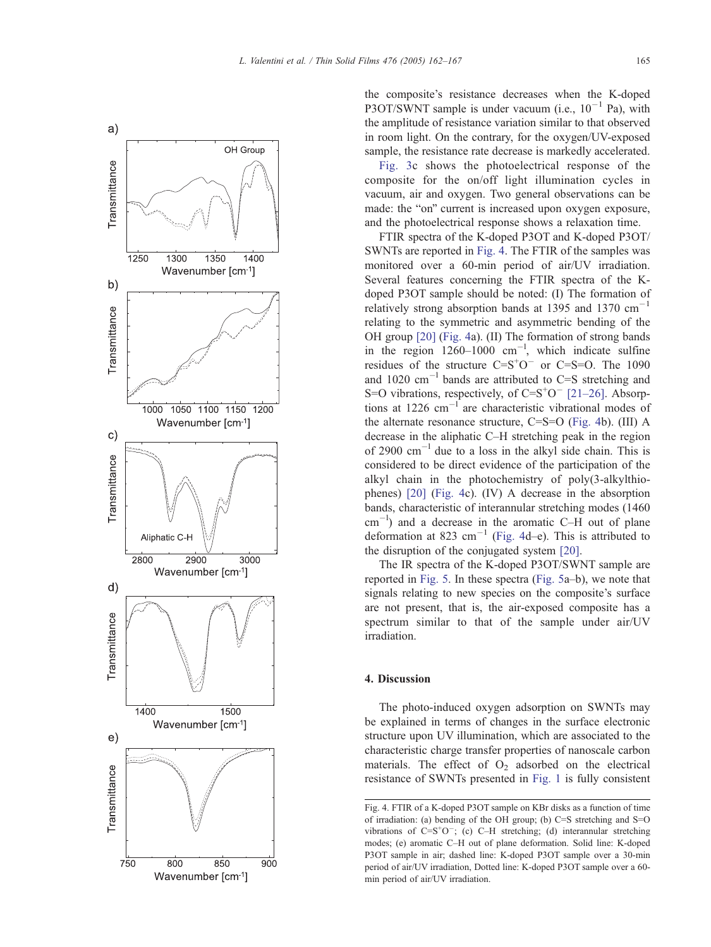

the composite's resistance decreases when the K-doped P3OT/SWNT sample is under vacuum (i.e.,  $10^{-1}$  Pa), with the amplitude of resistance variation similar to that observed in room light. On the contrary, for the oxygen/UV-exposed sample, the resistance rate decrease is markedly accelerated.

[Fig. 3c](#page-2-0) shows the photoelectrical response of the composite for the on/off light illumination cycles in vacuum, air and oxygen. Two general observations can be made: the "on" current is increased upon oxygen exposure, and the photoelectrical response shows a relaxation time.

FTIR spectra of the K-doped P3OT and K-doped P3OT/ SWNTs are reported in Fig. 4. The FTIR of the samples was monitored over a 60-min period of air/UV irradiation. Several features concerning the FTIR spectra of the Kdoped P3OT sample should be noted: (I) The formation of relatively strong absorption bands at 1395 and 1370  $cm^{-1}$ relating to the symmetric and asymmetric bending of the OH group [\[20\]](#page-5-0) (Fig. 4a). (II) The formation of strong bands in the region  $1260-1000$  cm<sup>-1</sup>, which indicate sulfine residues of the structure  $C = S<sup>+</sup>O^-$  or  $C = S = O$ . The 1090 and  $1020 \text{ cm}^{-1}$  bands are attributed to C=S stretching and S=O vibrations, respectively, of  $C=S<sup>+</sup>O<sup>-</sup>$  [\[21–26\].](#page-5-0) Absorptions at  $1226$  cm<sup>-1</sup> are characteristic vibrational modes of the alternate resonance structure, C=S=O (Fig. 4b). (III) A decrease in the aliphatic C–H stretching peak in the region of 2900  $cm^{-1}$  due to a loss in the alkyl side chain. This is considered to be direct evidence of the participation of the alkyl chain in the photochemistry of poly(3-alkylthiophenes) [\[20\]](#page-5-0) (Fig. 4c). (IV) A decrease in the absorption bands, characteristic of interannular stretching modes (1460  $\text{cm}^{-1}$ ) and a decrease in the aromatic C–H out of plane deformation at 823 cm<sup>-1</sup> (Fig. 4d–e). This is attributed to the disruption of the conjugated system [\[20\].](#page-5-0)

The IR spectra of the K-doped P3OT/SWNT sample are reported in [Fig. 5.](#page-4-0) In these spectra ([Fig. 5a](#page-4-0)–b), we note that signals relating to new species on the composite's surface are not present, that is, the air-exposed composite has a spectrum similar to that of the sample under air/UV irradiation.

### 4. Discussion

The photo-induced oxygen adsorption on SWNTs may be explained in terms of changes in the surface electronic structure upon UV illumination, which are associated to the characteristic charge transfer properties of nanoscale carbon materials. The effect of  $O<sub>2</sub>$  adsorbed on the electrical resistance of SWNTs presented in [Fig. 1](#page-1-0) is fully consistent

Fig. 4. FTIR of a K-doped P3OT sample on KBr disks as a function of time of irradiation: (a) bending of the OH group; (b) C=S stretching and S=O vibrations of  $C=S<sup>+</sup>O<sup>-</sup>$ ; (c) C-H stretching; (d) interannular stretching modes; (e) aromatic C–H out of plane deformation. Solid line: K-doped P3OT sample in air; dashed line: K-doped P3OT sample over a 30-min period of air/UV irradiation, Dotted line: K-doped P3OT sample over a 60 min period of air/UV irradiation.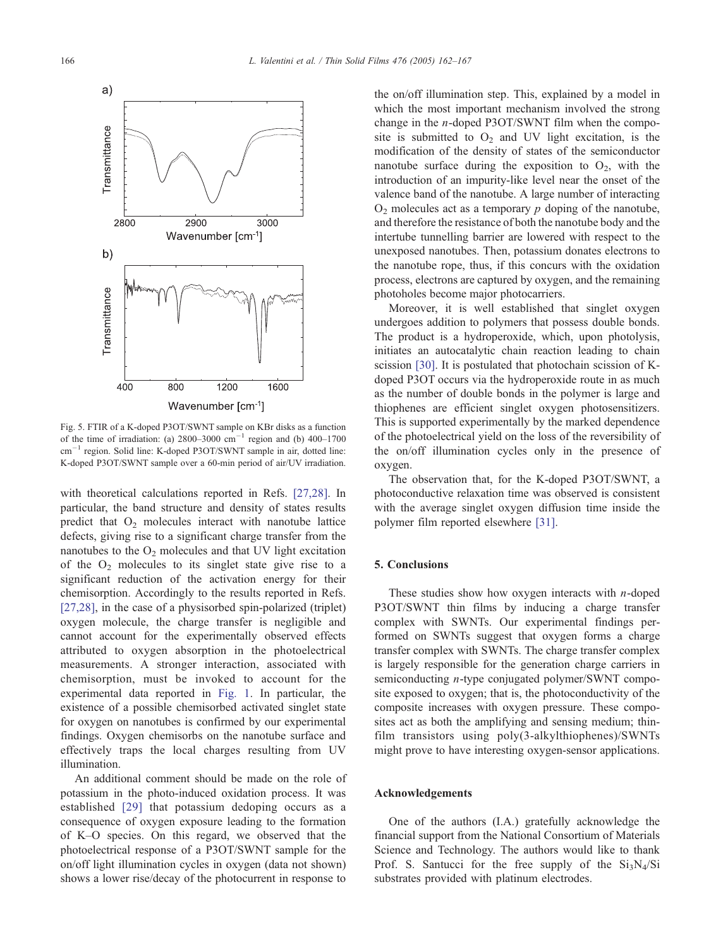<span id="page-4-0"></span>

Fig. 5. FTIR of a K-doped P3OT/SWNT sample on KBr disks as a function of the time of irradiation: (a)  $2800-3000$  cm<sup>-1</sup> region and (b)  $400-1700$  $cm^{-1}$  region. Solid line: K-doped P3OT/SWNT sample in air, dotted line: K-doped P3OT/SWNT sample over a 60-min period of air/UV irradiation.

with theoretical calculations reported in Refs. [\[27,28\].](#page-5-0) In particular, the band structure and density of states results predict that  $O<sub>2</sub>$  molecules interact with nanotube lattice defects, giving rise to a significant charge transfer from the nanotubes to the  $O_2$  molecules and that UV light excitation of the  $O_2$  molecules to its singlet state give rise to a significant reduction of the activation energy for their chemisorption. Accordingly to the results reported in Refs. [\[27,28\],](#page-5-0) in the case of a physisorbed spin-polarized (triplet) oxygen molecule, the charge transfer is negligible and cannot account for the experimentally observed effects attributed to oxygen absorption in the photoelectrical measurements. A stronger interaction, associated with chemisorption, must be invoked to account for the experimental data reported in [Fig. 1.](#page-1-0) In particular, the existence of a possible chemisorbed activated singlet state for oxygen on nanotubes is confirmed by our experimental findings. Oxygen chemisorbs on the nanotube surface and effectively traps the local charges resulting from UV illumination.

An additional comment should be made on the role of potassium in the photo-induced oxidation process. It was established [\[29\]](#page-5-0) that potassium dedoping occurs as a consequence of oxygen exposure leading to the formation of K–O species. On this regard, we observed that the photoelectrical response of a P3OT/SWNT sample for the on/off light illumination cycles in oxygen (data not shown) shows a lower rise/decay of the photocurrent in response to

the on/off illumination step. This, explained by a model in which the most important mechanism involved the strong change in the n-doped P3OT/SWNT film when the composite is submitted to  $O_2$  and UV light excitation, is the modification of the density of states of the semiconductor nanotube surface during the exposition to  $O_2$ , with the introduction of an impurity-like level near the onset of the valence band of the nanotube. A large number of interacting  $O<sub>2</sub>$  molecules act as a temporary p doping of the nanotube, and therefore the resistance of both the nanotube body and the intertube tunnelling barrier are lowered with respect to the unexposed nanotubes. Then, potassium donates electrons to the nanotube rope, thus, if this concurs with the oxidation process, electrons are captured by oxygen, and the remaining photoholes become major photocarriers.

Moreover, it is well established that singlet oxygen undergoes addition to polymers that possess double bonds. The product is a hydroperoxide, which, upon photolysis, initiates an autocatalytic chain reaction leading to chain scission [\[30\].](#page-5-0) It is postulated that photochain scission of Kdoped P3OT occurs via the hydroperoxide route in as much as the number of double bonds in the polymer is large and thiophenes are efficient singlet oxygen photosensitizers. This is supported experimentally by the marked dependence of the photoelectrical yield on the loss of the reversibility of the on/off illumination cycles only in the presence of oxygen.

The observation that, for the K-doped P3OT/SWNT, a photoconductive relaxation time was observed is consistent with the average singlet oxygen diffusion time inside the polymer film reported elsewhere [\[31\].](#page-5-0)

#### 5. Conclusions

These studies show how oxygen interacts with  $n$ -doped P3OT/SWNT thin films by inducing a charge transfer complex with SWNTs. Our experimental findings performed on SWNTs suggest that oxygen forms a charge transfer complex with SWNTs. The charge transfer complex is largely responsible for the generation charge carriers in semiconducting n-type conjugated polymer/SWNT composite exposed to oxygen; that is, the photoconductivity of the composite increases with oxygen pressure. These composites act as both the amplifying and sensing medium; thinfilm transistors using poly(3-alkylthiophenes)/SWNTs might prove to have interesting oxygen-sensor applications.

## Acknowledgements

One of the authors (I.A.) gratefully acknowledge the financial support from the National Consortium of Materials Science and Technology. The authors would like to thank Prof. S. Santucci for the free supply of the  $Si_3N_4/Si$ substrates provided with platinum electrodes.